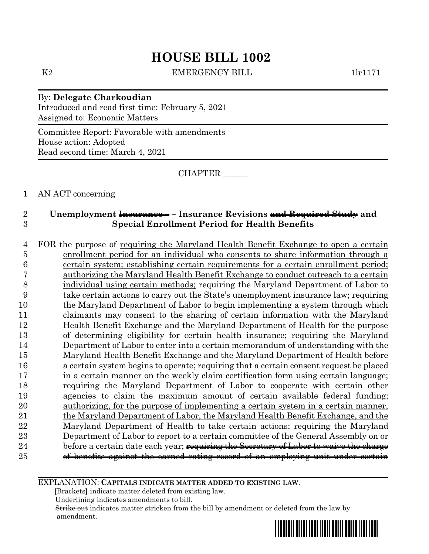K2 EMERGENCY BILL 1lr1171

By: **Delegate Charkoudian** Introduced and read first time: February 5, 2021 Assigned to: Economic Matters

Committee Report: Favorable with amendments House action: Adopted Read second time: March 4, 2021

CHAPTER \_\_\_\_\_\_

1 AN ACT concerning

## 2 **Unemployment Insurance – – Insurance Revisions and Required Study and**  3 **Special Enrollment Period for Health Benefits**

 FOR the purpose of requiring the Maryland Health Benefit Exchange to open a certain enrollment period for an individual who consents to share information through a certain system; establishing certain requirements for a certain enrollment period; authorizing the Maryland Health Benefit Exchange to conduct outreach to a certain individual using certain methods; requiring the Maryland Department of Labor to take certain actions to carry out the State's unemployment insurance law; requiring the Maryland Department of Labor to begin implementing a system through which claimants may consent to the sharing of certain information with the Maryland Health Benefit Exchange and the Maryland Department of Health for the purpose of determining eligibility for certain health insurance; requiring the Maryland Department of Labor to enter into a certain memorandum of understanding with the Maryland Health Benefit Exchange and the Maryland Department of Health before a certain system begins to operate; requiring that a certain consent request be placed in a certain manner on the weekly claim certification form using certain language; requiring the Maryland Department of Labor to cooperate with certain other agencies to claim the maximum amount of certain available federal funding; authorizing, for the purpose of implementing a certain system in a certain manner, the Maryland Department of Labor, the Maryland Health Benefit Exchange, and the Maryland Department of Health to take certain actions; requiring the Maryland Department of Labor to report to a certain committee of the General Assembly on or 24 before a certain date each year; requiring the Secretary of Labor to waive the charge of benefits against the earned rating record of an employing unit under certain

EXPLANATION: **CAPITALS INDICATE MATTER ADDED TO EXISTING LAW**.

 **[**Brackets**]** indicate matter deleted from existing law.

Underlining indicates amendments to bill.

 Strike out indicates matter stricken from the bill by amendment or deleted from the law by amendment.

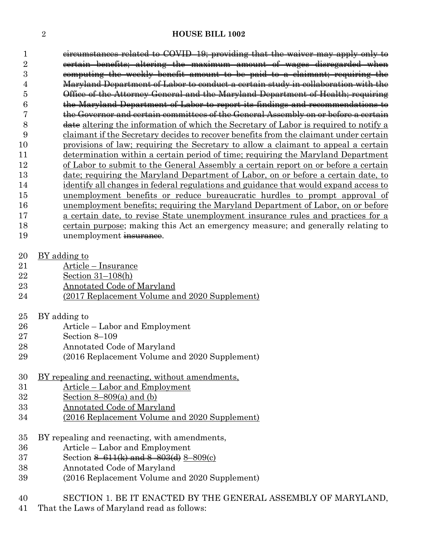circumstances related to COVID–19; providing that the waiver may apply only to certain benefits; altering the maximum amount of wages disregarded when computing the weekly benefit amount to be paid to a claimant; requiring the Maryland Department of Labor to conduct a certain study in collaboration with the Office of the Attorney General and the Maryland Department of Health; requiring the Maryland Department of Labor to report its findings and recommendations to the Governor and certain committees of the General Assembly on or before a certain 8 date altering the information of which the Secretary of Labor is required to notify a claimant if the Secretary decides to recover benefits from the claimant under certain provisions of law; requiring the Secretary to allow a claimant to appeal a certain determination within a certain period of time; requiring the Maryland Department of Labor to submit to the General Assembly a certain report on or before a certain date; requiring the Maryland Department of Labor, on or before a certain date, to identify all changes in federal regulations and guidance that would expand access to unemployment benefits or reduce bureaucratic hurdles to prompt approval of unemployment benefits; requiring the Maryland Department of Labor, on or before a certain date, to revise State unemployment insurance rules and practices for a certain purpose; making this Act an emergency measure; and generally relating to 19 unemployment insurance.

- BY adding to
- Article Insurance
- Section 31–108(h)
- Annotated Code of Maryland
- (2017 Replacement Volume and 2020 Supplement)
- BY adding to
- Article Labor and Employment
- Section 8–109
- Annotated Code of Maryland
- (2016 Replacement Volume and 2020 Supplement)
- BY repealing and reenacting, without amendments,
- Article Labor and Employment
- Section 8–809(a) and (b)
- Annotated Code of Maryland
- (2016 Replacement Volume and 2020 Supplement)
- BY repealing and reenacting, with amendments,
- Article Labor and Employment
- 37 Section  $\frac{8-611(k)}{201}$  and  $\frac{8-803(k)}{8-809(c)}$
- Annotated Code of Maryland
- (2016 Replacement Volume and 2020 Supplement)
- SECTION 1. BE IT ENACTED BY THE GENERAL ASSEMBLY OF MARYLAND,
- That the Laws of Maryland read as follows: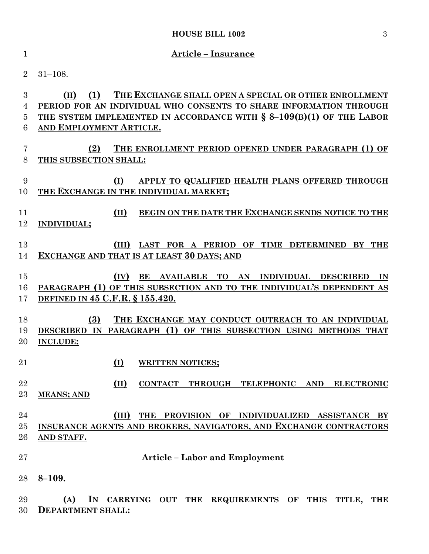| $\mathbf{1}$     | <b>Article - Insurance</b>                                                                                                      |  |  |  |  |
|------------------|---------------------------------------------------------------------------------------------------------------------------------|--|--|--|--|
| $\overline{2}$   | $31 - 108.$                                                                                                                     |  |  |  |  |
| $\boldsymbol{3}$ | (1)<br>THE EXCHANGE SHALL OPEN A SPECIAL OR OTHER ENROLLMENT<br>(H)                                                             |  |  |  |  |
| $\overline{4}$   | PERIOD FOR AN INDIVIDUAL WHO CONSENTS TO SHARE INFORMATION THROUGH                                                              |  |  |  |  |
| $\overline{5}$   | THE SYSTEM IMPLEMENTED IN ACCORDANCE WITH $\S$ 8-109(B)(1) OF THE LABOR                                                         |  |  |  |  |
| 6                | AND EMPLOYMENT ARTICLE.                                                                                                         |  |  |  |  |
| 7                | THE ENROLLMENT PERIOD OPENED UNDER PARAGRAPH (1) OF<br>(2)                                                                      |  |  |  |  |
| 8                | THIS SUBSECTION SHALL:                                                                                                          |  |  |  |  |
| 9                | (I)<br>APPLY TO QUALIFIED HEALTH PLANS OFFERED THROUGH                                                                          |  |  |  |  |
| 10               | THE EXCHANGE IN THE INDIVIDUAL MARKET;                                                                                          |  |  |  |  |
| 11               | BEGIN ON THE DATE THE EXCHANGE SENDS NOTICE TO THE<br>(II)                                                                      |  |  |  |  |
| 12               | <b>INDIVIDUAL;</b>                                                                                                              |  |  |  |  |
|                  |                                                                                                                                 |  |  |  |  |
| 13               | (III) LAST FOR A PERIOD OF TIME DETERMINED BY THE                                                                               |  |  |  |  |
| 14               | EXCHANGE AND THAT IS AT LEAST 30 DAYS; AND                                                                                      |  |  |  |  |
| 15               | (IV)<br>BE AVAILABLE TO AN INDIVIDUAL DESCRIBED<br>IN                                                                           |  |  |  |  |
| 16               | PARAGRAPH (1) OF THIS SUBSECTION AND TO THE INDIVIDUAL'S DEPENDENT AS                                                           |  |  |  |  |
| 17               | DEFINED IN 45 C.F.R. § 155.420.                                                                                                 |  |  |  |  |
| 18               | THE EXCHANGE MAY CONDUCT OUTREACH TO AN INDIVIDUAL<br>(3)                                                                       |  |  |  |  |
| 19               | DESCRIBED IN PARAGRAPH (1) OF THIS SUBSECTION USING METHODS THAT                                                                |  |  |  |  |
| 20               | <b>INCLUDE:</b>                                                                                                                 |  |  |  |  |
|                  |                                                                                                                                 |  |  |  |  |
| 21               | ( <u>I)</u><br><b>WRITTEN NOTICES;</b>                                                                                          |  |  |  |  |
| 22               | $(\text{II})$<br>CONTACT THROUGH TELEPHONIC AND ELECTRONIC                                                                      |  |  |  |  |
| 23               | <b>MEANS; AND</b>                                                                                                               |  |  |  |  |
| 24               |                                                                                                                                 |  |  |  |  |
| 25               | (III)<br>THE<br>PROVISION OF INDIVIDUALIZED ASSISTANCE BY<br>INSURANCE AGENTS AND BROKERS, NAVIGATORS, AND EXCHANGE CONTRACTORS |  |  |  |  |
| 26               | AND STAFF.                                                                                                                      |  |  |  |  |
|                  |                                                                                                                                 |  |  |  |  |
| 27               | <b>Article – Labor and Employment</b>                                                                                           |  |  |  |  |
| 28               | $8 - 109.$                                                                                                                      |  |  |  |  |
| 29               | (A)<br>IN CARRYING OUT THE REQUIREMENTS OF THIS<br>TITLE,<br>THE                                                                |  |  |  |  |
| 30               | <b>DEPARTMENT SHALL:</b>                                                                                                        |  |  |  |  |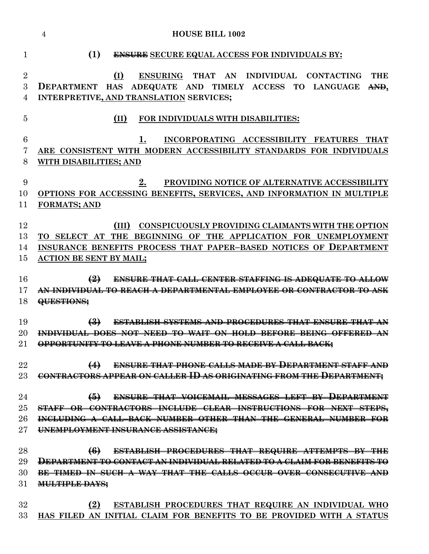**HOUSE BILL 1002 (1) ENSURE SECURE EQUAL ACCESS FOR INDIVIDUALS BY: (I) ENSURING THAT AN INDIVIDUAL CONTACTING THE DEPARTMENT HAS ADEQUATE AND TIMELY ACCESS TO LANGUAGE AND, INTERPRETIVE, AND TRANSLATION SERVICES; (II) FOR INDIVIDUALS WITH DISABILITIES: 1. INCORPORATING ACCESSIBILITY FEATURES THAT ARE CONSISTENT WITH MODERN ACCESSIBILITY STANDARDS FOR INDIVIDUALS WITH DISABILITIES; AND 2. PROVIDING NOTICE OF ALTERNATIVE ACCESSIBILITY OPTIONS FOR ACCESSING BENEFITS, SERVICES, AND INFORMATION IN MULTIPLE FORMATS; AND (III) CONSPICUOUSLY PROVIDING CLAIMANTS WITH THE OPTION TO SELECT AT THE BEGINNING OF THE APPLICATION FOR UNEMPLOYMENT INSURANCE BENEFITS PROCESS THAT PAPER–BASED NOTICES OF DEPARTMENT ACTION BE SENT BY MAIL; (2) ENSURE THAT CALL CENTER STAFFING IS ADEQUATE TO ALLOW AN INDIVIDUAL TO REACH A DEPARTMENTAL EMPLOYEE OR CONTRACTOR TO ASK QUESTIONS; (3) ESTABLISH SYSTEMS AND PROCEDURES THAT ENSURE THAT AN INDIVIDUAL DOES NOT NEED TO WAIT ON HOLD BEFORE BEING OFFERED AN OPPORTUNITY TO LEAVE A PHONE NUMBER TO RECEIVE A CALL BACK; (4) ENSURE THAT PHONE CALLS MADE BY DEPARTMENT STAFF AND CONTRACTORS APPEAR ON CALLER ID AS ORIGINATING FROM THE DEPARTMENT; (5) ENSURE THAT VOICEMAIL MESSAGES LEFT BY DEPARTMENT STAFF OR CONTRACTORS INCLUDE CLEAR INSTRUCTIONS FOR NEXT STEPS, INCLUDING A CALL–BACK NUMBER OTHER THAN THE GENERAL NUMBER FOR UNEMPLOYMENT INSURANCE ASSISTANCE; (6) ESTABLISH PROCEDURES THAT REQUIRE ATTEMPTS BY THE DEPARTMENT TO CONTACT AN INDIVIDUAL RELATED TO A CLAIM FOR BENEFITS TO BE TIMED IN SUCH A WAY THAT THE CALLS OCCUR OVER CONSECUTIVE AND MULTIPLE DAYS; (2) ESTABLISH PROCEDURES THAT REQUIRE AN INDIVIDUAL WHO HAS FILED AN INITIAL CLAIM FOR BENEFITS TO BE PROVIDED WITH A STATUS**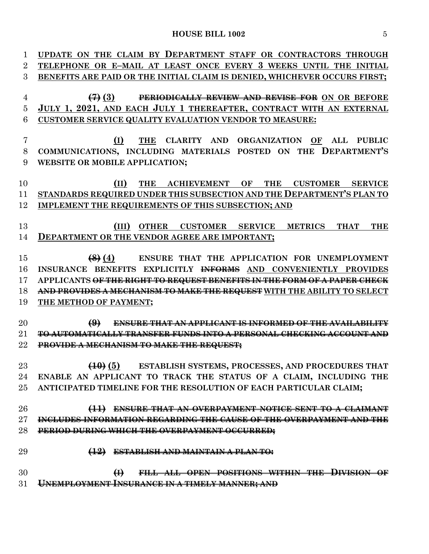| $\mathbf{1}$   | UPDATE ON THE CLAIM BY DEPARTMENT STAFF OR CONTRACTORS THROUGH                      |
|----------------|-------------------------------------------------------------------------------------|
| $\overline{2}$ | TELEPHONE OR E-MAIL AT LEAST ONCE EVERY 3 WEEKS UNTIL THE INITIAL                   |
| 3              | BENEFITS ARE PAID OR THE INITIAL CLAIM IS DENIED, WHICHEVER OCCURS FIRST;           |
| $\overline{4}$ | PERIODICALLY REVIEW AND REVISE FOR ON OR BEFORE<br>$\left( 4\right)$ (3)            |
| $\bf 5$        | JULY 1, 2021, AND EACH JULY 1 THEREAFTER, CONTRACT WITH AN EXTERNAL                 |
| 6              | CUSTOMER SERVICE QUALITY EVALUATION VENDOR TO MEASURE:                              |
|                |                                                                                     |
| 7              | THE CLARITY AND ORGANIZATION OF ALL PUBLIC<br>(I)                                   |
| 8              | COMMUNICATIONS, INCLUDING MATERIALS POSTED ON THE DEPARTMENT'S                      |
| 9              | WEBSITE OR MOBILE APPLICATION;                                                      |
|                |                                                                                     |
| 10             | THE ACHIEVEMENT OF THE CUSTOMER SERVICE<br>(II)                                     |
| 11             | STANDARDS REQUIRED UNDER THIS SUBSECTION AND THE DEPARTMENT'S PLAN TO               |
| 12             | IMPLEMENT THE REQUIREMENTS OF THIS SUBSECTION; AND                                  |
|                |                                                                                     |
| 13             | (III)<br>OTHER CUSTOMER SERVICE METRICS<br><b>THAT</b><br><b>THE</b>                |
| 14             | <b>DEPARTMENT OR THE VENDOR AGREE ARE IMPORTANT;</b>                                |
|                |                                                                                     |
| 15             | (8) (4) ENSURE THAT THE APPLICATION FOR UNEMPLOYMENT                                |
| 16             | INSURANCE BENEFITS EXPLICITLY INFORMS AND CONVENIENTLY PROVIDES                     |
| 17             | APPLICANTS <del>OF THE RIGHT TO REQUEST BENEFITS IN THE FORM OF A PAPER CHECK</del> |
| 18             | AND PROVIDES A MECHANISM TO MAKE THE REQUEST WITH THE ABILITY TO SELECT             |
| 19             | THE METHOD OF PAYMENT;                                                              |
|                |                                                                                     |
| 20             | $\bigoplus$<br><b>ENSURE THAT AN APPLICANT IS INFORMED OF THE AVAILABILITY</b>      |
| 21             | <b>TO AUTOMATICALLY TRANSFER FUNDS INTO A PERSONAL CHECKING ACCOUNT AND</b>         |
| $22\,$         | PROVIDE A MECHANISM TO MAKE THE REQUEST;                                            |
|                |                                                                                     |
| 23             | (10) (5) ESTABLISH SYSTEMS, PROCESSES, AND PROCEDURES THAT                          |
| 24             | ENABLE AN APPLICANT TO TRACK THE STATUS OF A CLAIM, INCLUDING THE                   |
| $25\,$         | ANTICIPATED TIMELINE FOR THE RESOLUTION OF EACH PARTICULAR CLAIM;                   |
|                |                                                                                     |
| 26             | ENSURE THAT AN OVERPAYMENT NOTICE SENT TO A CLAIMANT<br>$\leftrightarrow$           |
| $27\,$         | INCLUDES INFORMATION REGARDING THE CAUSE OF THE OVERPAYMENT AND THE                 |
| 28             | PERIOD DURING WHICH THE OVERPAYMENT OCCURRED;                                       |
|                |                                                                                     |
| 29             | $\left( \frac{12}{2} \right)$<br><b>ESTABLISH AND MAINTAIN A PLAN TO:</b>           |
|                |                                                                                     |
| 30             | $\bigoplus$<br>FILL ALL OPEN POSITIONS WITHIN THE DIVISION OF                       |
| 31             | <b>UNEMPLOYMENT INSURANCE IN A TIMELY MANNER; AND</b>                               |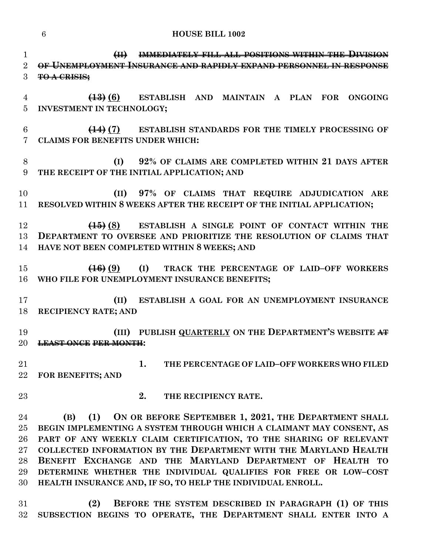**(II) IMMEDIATELY FILL ALL POSITIONS WITHIN THE DIVISION OF UNEMPLOYMENT INSURANCE AND RAPIDLY EXPAND PERSONNEL IN RESPONSE TO A CRISIS; (13) (6) ESTABLISH AND MAINTAIN A PLAN FOR ONGOING INVESTMENT IN TECHNOLOGY; (14) (7) ESTABLISH STANDARDS FOR THE TIMELY PROCESSING OF CLAIMS FOR BENEFITS UNDER WHICH: (I) 92% OF CLAIMS ARE COMPLETED WITHIN 21 DAYS AFTER THE RECEIPT OF THE INITIAL APPLICATION; AND (II) 97% OF CLAIMS THAT REQUIRE ADJUDICATION ARE RESOLVED WITHIN 8 WEEKS AFTER THE RECEIPT OF THE INITIAL APPLICATION; (15) (8) ESTABLISH A SINGLE POINT OF CONTACT WITHIN THE DEPARTMENT TO OVERSEE AND PRIORITIZE THE RESOLUTION OF CLAIMS THAT HAVE NOT BEEN COMPLETED WITHIN 8 WEEKS; AND (16) (9) (I) TRACK THE PERCENTAGE OF LAID–OFF WORKERS WHO FILE FOR UNEMPLOYMENT INSURANCE BENEFITS; (II) ESTABLISH A GOAL FOR AN UNEMPLOYMENT INSURANCE RECIPIENCY RATE; AND (III) PUBLISH QUARTERLY ON THE DEPARTMENT'S WEBSITE AT LEAST ONCE PER MONTH: 1. THE PERCENTAGE OF LAID–OFF WORKERS WHO FILED** 

**FOR BENEFITS; AND** 

**2. THE RECIPIENCY RATE.**

 **(B) (1) ON OR BEFORE SEPTEMBER 1, 2021, THE DEPARTMENT SHALL BEGIN IMPLEMENTING A SYSTEM THROUGH WHICH A CLAIMANT MAY CONSENT, AS PART OF ANY WEEKLY CLAIM CERTIFICATION, TO THE SHARING OF RELEVANT COLLECTED INFORMATION BY THE DEPARTMENT WITH THE MARYLAND HEALTH BENEFIT EXCHANGE AND THE MARYLAND DEPARTMENT OF HEALTH TO DETERMINE WHETHER THE INDIVIDUAL QUALIFIES FOR FREE OR LOW–COST HEALTH INSURANCE AND, IF SO, TO HELP THE INDIVIDUAL ENROLL.**

 **(2) BEFORE THE SYSTEM DESCRIBED IN PARAGRAPH (1) OF THIS SUBSECTION BEGINS TO OPERATE, THE DEPARTMENT SHALL ENTER INTO A**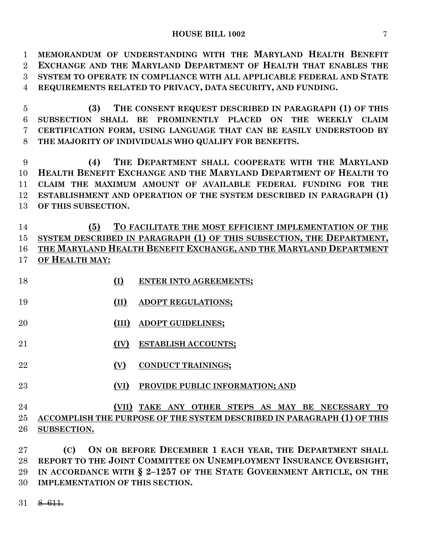**MEMORANDUM OF UNDERSTANDING WITH THE MARYLAND HEALTH BENEFIT EXCHANGE AND THE MARYLAND DEPARTMENT OF HEALTH THAT ENABLES THE SYSTEM TO OPERATE IN COMPLIANCE WITH ALL APPLICABLE FEDERAL AND STATE REQUIREMENTS RELATED TO PRIVACY, DATA SECURITY, AND FUNDING. (3) THE CONSENT REQUEST DESCRIBED IN PARAGRAPH (1) OF THIS SUBSECTION SHALL BE PROMINENTLY PLACED ON THE WEEKLY CLAIM CERTIFICATION FORM, USING LANGUAGE THAT CAN BE EASILY UNDERSTOOD BY THE MAJORITY OF INDIVIDUALS WHO QUALIFY FOR BENEFITS. (4) THE DEPARTMENT SHALL COOPERATE WITH THE MARYLAND** 

 **HEALTH BENEFIT EXCHANGE AND THE MARYLAND DEPARTMENT OF HEALTH TO CLAIM THE MAXIMUM AMOUNT OF AVAILABLE FEDERAL FUNDING FOR THE ESTABLISHMENT AND OPERATION OF THE SYSTEM DESCRIBED IN PARAGRAPH (1) OF THIS SUBSECTION.**

 **(5) TO FACILITATE THE MOST EFFICIENT IMPLEMENTATION OF THE SYSTEM DESCRIBED IN PARAGRAPH (1) OF THIS SUBSECTION, THE DEPARTMENT, THE MARYLAND HEALTH BENEFIT EXCHANGE, AND THE MARYLAND DEPARTMENT OF HEALTH MAY:**

- **(I) ENTER INTO AGREEMENTS;**
- **(II) ADOPT REGULATIONS;**
- **(III) ADOPT GUIDELINES;**
- **(IV) ESTABLISH ACCOUNTS;**
- **(V) CONDUCT TRAININGS;**
- **(VI) PROVIDE PUBLIC INFORMATION; AND**

## **(VII) TAKE ANY OTHER STEPS AS MAY BE NECESSARY TO ACCOMPLISH THE PURPOSE OF THE SYSTEM DESCRIBED IN PARAGRAPH (1) OF THIS SUBSECTION.**

 **(C) ON OR BEFORE DECEMBER 1 EACH YEAR, THE DEPARTMENT SHALL REPORT TO THE JOINT COMMITTEE ON UNEMPLOYMENT INSURANCE OVERSIGHT, IN ACCORDANCE WITH § 2–1257 OF THE STATE GOVERNMENT ARTICLE, ON THE IMPLEMENTATION OF THIS SECTION.**

 $31 \quad 8-611.$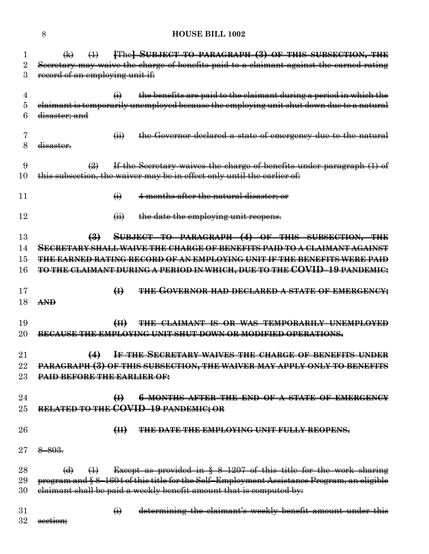| 1      | $\bigoplus$                        | $\leftrightarrow$          |                   | <b>[The] SUBJECT TO PARAGRAPH (3) OF THIS SUBSECTION, THE</b>                              |
|--------|------------------------------------|----------------------------|-------------------|--------------------------------------------------------------------------------------------|
| 2      |                                    |                            |                   | Secretary may waive the charge of benefits paid to a claimant against the earned rating    |
| 3      | record of an employing unit if:    |                            |                   |                                                                                            |
|        |                                    |                            |                   |                                                                                            |
| 4      |                                    |                            | $\bigoplus$       | the benefits are paid to the claimant during a period in which the                         |
| 5      |                                    |                            |                   | claimant is temporarily unemployed because the employing unit shut down due to a natural   |
| 6      | disaster; and                      |                            |                   |                                                                                            |
|        |                                    |                            |                   |                                                                                            |
| 7      |                                    |                            | $\overline{a}$    | the Governor declared a state of emergency due to the natural                              |
| 8      | disaster.                          |                            |                   |                                                                                            |
|        |                                    |                            |                   |                                                                                            |
| 9      |                                    | $\left(\frac{9}{2}\right)$ |                   | If the Secretary waives the charge of benefits under paragraph (1) of                      |
| 10     |                                    |                            |                   | this subsection, the waiver may be in effect only until the earlier of:                    |
|        |                                    |                            |                   |                                                                                            |
| 11     |                                    |                            | $\leftrightarrow$ | 4 months after the natural disaster; or                                                    |
|        |                                    |                            |                   |                                                                                            |
|        |                                    |                            |                   |                                                                                            |
| 12     |                                    |                            | $\overline{a}$    | the date the employing unit reopens.                                                       |
|        |                                    |                            |                   |                                                                                            |
| 13     |                                    | $\biguplus$                |                   | SUBJECT TO PARAGRAPH (4) OF THIS SUBSECTION, THE                                           |
| 14     |                                    |                            |                   | <u>SECRETARY SHALL WAIVE THE CHARGE OF BENEFITS PAID TO A CLAIMANT AGAINST</u>             |
| 15     |                                    |                            |                   | <b>THE EARNED RATING RECORD OF AN EMPLOYING UNIT IF THE BENEFITS WERE PAID</b>             |
| 16     |                                    |                            |                   | TO THE CLAIMANT DURING A PERIOD IN WHICH, DUE TO THE COVID-19 PANDEMIC:                    |
|        |                                    |                            |                   |                                                                                            |
| 17     |                                    |                            | $\bigoplus$       | THE GOVERNOR HAD DECLARED A STATE OF EMERGENCY;                                            |
| 18     | <b>AND</b>                         |                            |                   |                                                                                            |
|        |                                    |                            |                   |                                                                                            |
|        |                                    |                            |                   |                                                                                            |
| 19     |                                    |                            | H                 | THE CLAIMANT IS OR WAS TEMPORARILY UNEMPLOYED                                              |
| 20     |                                    |                            |                   | BECAUSE THE EMPLOYING UNIT SHUT DOWN OR MODIFIED OPERATIONS.                               |
|        |                                    |                            |                   |                                                                                            |
| 21     |                                    | $\leftrightarrow$          |                   | IF THE SECRETARY WAIVES THE CHARGE OF BENEFITS UNDER                                       |
| 22     |                                    |                            |                   | PARAGRAPH (3) OF THIS SUBSECTION, THE WAIVER MAY APPLY ONLY TO BENEFITS                    |
| 23     | <b>PAID BEFORE THE EARLIER OF:</b> |                            |                   |                                                                                            |
|        |                                    |                            |                   |                                                                                            |
| 24     |                                    |                            | $\bigoplus$       | <b>6 MONTHS AFTER THE END OF A STATE OF EMERGENCY</b>                                      |
| $25\,$ |                                    |                            |                   | RELATED TO THE COVID-19 PANDEMIC; OR                                                       |
|        |                                    |                            |                   |                                                                                            |
|        |                                    |                            |                   |                                                                                            |
| 26     |                                    |                            | H                 | THE DATE THE EMPLOYING UNIT FULLY REOPENS.                                                 |
|        |                                    |                            |                   |                                                                                            |
| $27\,$ | $8 - 803.$                         |                            |                   |                                                                                            |
|        |                                    |                            |                   |                                                                                            |
| 28     | $\Theta$                           | $\leftrightarrow$          |                   | Except as provided in $\S$ 8-1207 of this title for the work sharing                       |
| 29     |                                    |                            |                   | program and § 8-1604 of this title for the Self-Employment Assistance Program, an eligible |
| 30     |                                    |                            |                   | elaimant shall be paid a weekly benefit amount that is computed by:                        |
|        |                                    |                            |                   |                                                                                            |
| 31     |                                    |                            | $\leftrightarrow$ | determining the claimant's weekly benefit amount under this                                |
| 32     | <del>section;</del>                |                            |                   |                                                                                            |
|        |                                    |                            |                   |                                                                                            |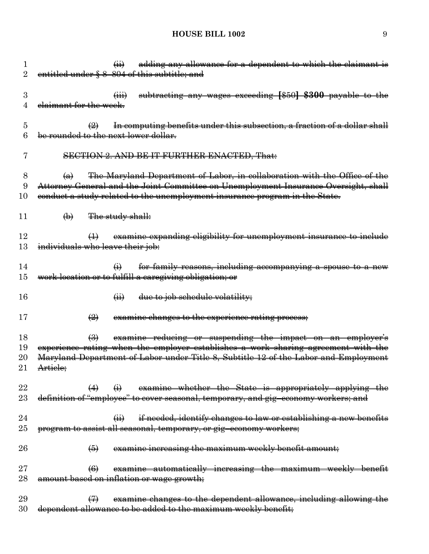| 1<br>2               | adding any allowance for a dependent to which the claimant is<br>$\overline{(\mathbf{ii})}$<br>entitled under § 8-804 of this subtitle; and                                                                                                                                      |
|----------------------|----------------------------------------------------------------------------------------------------------------------------------------------------------------------------------------------------------------------------------------------------------------------------------|
| 3<br>4               | subtracting any wages exceeding [\$50] \$300 payable to the<br>elaimant for the week.                                                                                                                                                                                            |
| 5<br>6               | In computing benefits under this subsection, a fraction of a dollar shall<br>$\left(\frac{9}{2}\right)$<br>be rounded to the next lower dollar.                                                                                                                                  |
| 7                    | <b>SECTION 2. AND BE IT FURTHER ENACTED, That:</b>                                                                                                                                                                                                                               |
| 8<br>9<br>10         | The Maryland Department of Labor, in collaboration with the Office of the<br>$\left(\mathbf{a}\right)$<br>Attorney General and the Joint Committee on Unemployment Insurance Oversight, shall<br>conduct a study related to the unemployment insurance program in the State.     |
| 11                   | The study shall:<br>$\bigoplus$                                                                                                                                                                                                                                                  |
| 12<br>13             | examine expanding eligibility for unemployment insurance to include<br>individuals who leave their job:                                                                                                                                                                          |
| 14<br>15             | for family reasons, including accompanying a spouse to a new<br>$\bigoplus$<br>work location or to fulfill a caregiving obligation; or                                                                                                                                           |
| 16                   | due to job schedule volatility;<br>$\overline{41}$                                                                                                                                                                                                                               |
| 17                   | examine changes to the experience rating process;<br>$\left(\frac{9}{2}\right)$                                                                                                                                                                                                  |
| 18<br>19<br>20<br>21 | examine reducing or suspending the impact on an employer's<br>$\left(\frac{1}{2}\right)$<br>experience rating when the employer establishes a work sharing agreement with the<br>Maryland Department of Labor under Title 8, Subtitle 12 of the Labor and Employment<br>Artiele; |
| 22<br>23             | examine whether the State is appropriately applying the<br>definition of "employee" to cover seasonal, temporary, and gig-economy workers; and                                                                                                                                   |
| 24<br>$25\,$         | if needed, identify changes to law or establishing a new benefits<br>$\overline{a}$<br>program to assist all seasonal, temporary, or gig-economy workers;                                                                                                                        |
| 26                   | examine increasing the maximum weekly benefit amount;<br>$\left( 6 \right)$                                                                                                                                                                                                      |
| $27\,$<br>28         | examine automatically increasing the maximum weekly benefit<br>$\left( 6 \right)$<br>amount based on inflation or wage growth;                                                                                                                                                   |
| 29                   | examine changes to the dependent allowance, including allowing the                                                                                                                                                                                                               |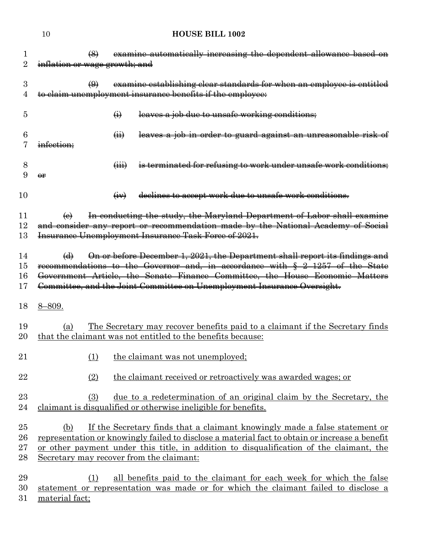|                               | <b>HOUSE BILL 1002</b><br>10                                                                                                                                                                                                                                                                                                        |
|-------------------------------|-------------------------------------------------------------------------------------------------------------------------------------------------------------------------------------------------------------------------------------------------------------------------------------------------------------------------------------|
| 1<br>$\overline{2}$           | examine automatically increasing the dependent allowance based on<br>$\left(\frac{8}{2}\right)$<br>inflation or wage growth; and                                                                                                                                                                                                    |
| 3<br>4                        | examine establishing clear standards for when an employee is entitled<br>$\bigoplus$<br>to claim unemployment insurance benefits if the employee:                                                                                                                                                                                   |
| 5                             | leaves a job due to unsafe working conditions;<br>$\bigoplus$                                                                                                                                                                                                                                                                       |
| 6                             | leaves a job in order to guard against an unreasonable risk of<br>$\overline{(\mathbf{H})}$<br>infection:                                                                                                                                                                                                                           |
| 8<br>9                        | is terminated for refusing to work under unsafe work conditions;<br>$\overline{(\overline{iii})}$<br>$\Theta$ r                                                                                                                                                                                                                     |
| 10                            | declines to accept work due to unsafe work conditions.<br>$\overline{(+)}$                                                                                                                                                                                                                                                          |
| 11<br>$12\,$<br>13            | In conducting the study, the Maryland Department of Labor shall examine<br>$\Theta$<br>and consider any report or recommendation made by the National Academy of Social<br>Insurance Unemployment Insurance Task Force of 2021.                                                                                                     |
| 14<br>15<br>16<br>17          | On or before December 1, 2021, the Department shall report its findings and<br>$\Theta$<br>recommendations to the Governor and, in accordance with § 2-1257 of the State<br>Government Article, the Senate Finance Committee, the House Economic Matters<br>Committee, and the Joint Committee on Unemployment Insurance Oversight. |
| 18                            | $8 - 809.$                                                                                                                                                                                                                                                                                                                          |
| 19<br>20                      | <u>The Secretary may recover benefits paid to a claimant if the Secretary finds</u><br>(a)<br>that the claimant was not entitled to the benefits because:                                                                                                                                                                           |
| 21                            | (1)<br>the claimant was not unemployed;                                                                                                                                                                                                                                                                                             |
| 22                            | (2)<br>the claimant received or retroactively was awarded wages; or                                                                                                                                                                                                                                                                 |
| 23<br>24                      | (3)<br><u>due to a redetermination of an original claim by the Secretary, the</u><br>claimant is disqualified or otherwise ineligible for benefits.                                                                                                                                                                                 |
| 25<br>26<br>$27\,$<br>$^{28}$ | If the Secretary finds that a claimant knowingly made a false statement or<br>(b)<br>representation or knowingly failed to disclose a material fact to obtain or increase a benefit<br>or other payment under this title, in addition to disqualification of the claimant, the<br>Secretary may recover from the claimant:          |
| 29<br>30                      | all benefits paid to the claimant for each week for which the false<br>(1)<br>statement or representation was made or for which the claimant failed to disclose a                                                                                                                                                                   |

material fact;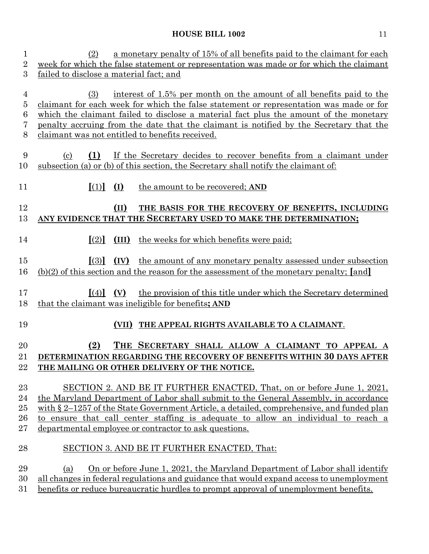| $\mathbf{1}$                       | a monetary penalty of 15% of all benefits paid to the claimant for each<br>(2)                                                                                                                                                                                                                                                                                                                                |  |  |
|------------------------------------|---------------------------------------------------------------------------------------------------------------------------------------------------------------------------------------------------------------------------------------------------------------------------------------------------------------------------------------------------------------------------------------------------------------|--|--|
| $\overline{2}$                     | week for which the false statement or representation was made or for which the claimant                                                                                                                                                                                                                                                                                                                       |  |  |
| 3                                  | failed to disclose a material fact; and                                                                                                                                                                                                                                                                                                                                                                       |  |  |
| 4<br>$\overline{5}$<br>6<br>7<br>8 | interest of 1.5% per month on the amount of all benefits paid to the<br>(3)<br>claimant for each week for which the false statement or representation was made or for<br>which the claimant failed to disclose a material fact plus the amount of the monetary<br>penalty accruing from the date that the claimant is notified by the Secretary that the<br>claimant was not entitled to benefits received.   |  |  |
| 9<br>10                            | (1)<br>If the Secretary decides to recover benefits from a claimant under<br>$\left( \mathrm{c}\right)$<br>subsection (a) or (b) of this section, the Secretary shall notify the claimant of:                                                                                                                                                                                                                 |  |  |
| 11                                 | $\left[ (1) \right] (1)$<br>the amount to be recovered; AND                                                                                                                                                                                                                                                                                                                                                   |  |  |
| 12<br>13                           | THE BASIS FOR THE RECOVERY OF BENEFITS, INCLUDING<br>(II)<br>ANY EVIDENCE THAT THE SECRETARY USED TO MAKE THE DETERMINATION;                                                                                                                                                                                                                                                                                  |  |  |
| 14                                 | $[2]$ $(III)$ the weeks for which benefits were paid;                                                                                                                                                                                                                                                                                                                                                         |  |  |
| 15<br>16                           | $\left[ \begin{array}{cc} (3) \\ (1) \end{array} \right]$ $\left( \text{IV} \right)$<br>the amount of any monetary penalty assessed under subsection<br>$(b)(2)$ of this section and the reason for the assessment of the monetary penalty; [and]                                                                                                                                                             |  |  |
| 17<br>18                           | the provision of this title under which the Secretary determined<br>$\llbracket (4) \rrbracket$ (V)<br>that the claimant was ineligible for benefits; AND                                                                                                                                                                                                                                                     |  |  |
| 19                                 | (VII) THE APPEAL RIGHTS AVAILABLE TO A CLAIMANT.                                                                                                                                                                                                                                                                                                                                                              |  |  |
| 20<br>21<br>22                     | (2)<br>THE SECRETARY SHALL ALLOW A CLAIMANT TO APPEAL A<br>DETERMINATION REGARDING THE RECOVERY OF BENEFITS WITHIN 30 DAYS AFTER<br>THE MAILING OR OTHER DELIVERY OF THE NOTICE.                                                                                                                                                                                                                              |  |  |
| 23<br>24<br>$25\,$<br>26<br>$27\,$ | SECTION 2. AND BE IT FURTHER ENACTED, That, on or before June 1, 2021,<br>the Maryland Department of Labor shall submit to the General Assembly, in accordance<br>with $\S 2$ –1257 of the State Government Article, a detailed, comprehensive, and funded plan<br>to ensure that call center staffing is adequate to allow an individual to reach a<br>departmental employee or contractor to ask questions. |  |  |
| 28                                 | SECTION 3. AND BE IT FURTHER ENACTED, That:                                                                                                                                                                                                                                                                                                                                                                   |  |  |
| 29<br>30<br>31                     | On or before June 1, 2021, the Maryland Department of Labor shall identify<br>(a)<br>all changes in federal regulations and guidance that would expand access to unemployment<br>benefits or reduce bureaucratic hurdles to prompt approval of unemployment benefits.                                                                                                                                         |  |  |